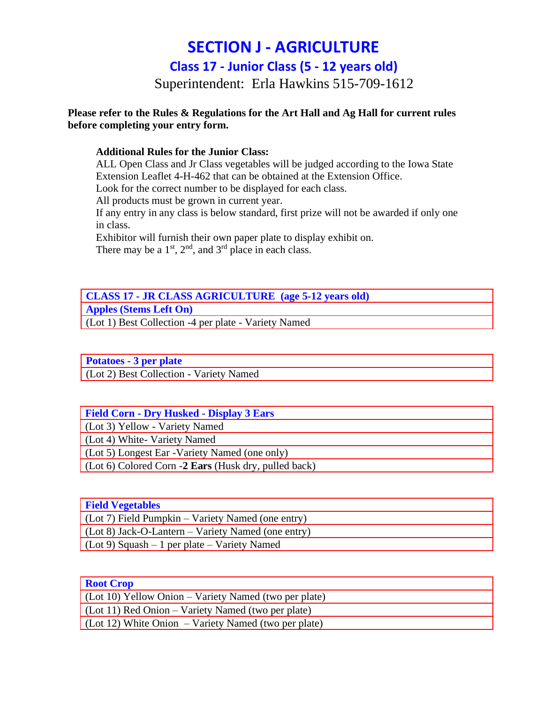# **SECTION J - AGRICULTURE**

**Class 17 - Junior Class (5 - 12 years old)**

Superintendent: Erla Hawkins 515-709-1612

#### **Please refer to the Rules & Regulations for the Art Hall and Ag Hall for current rules before completing your entry form.**

#### **Additional Rules for the Junior Class:**

ALL Open Class and Jr Class vegetables will be judged according to the Iowa State Extension Leaflet 4-H-462 that can be obtained at the Extension Office.

Look for the correct number to be displayed for each class.

All products must be grown in current year.

If any entry in any class is below standard, first prize will not be awarded if only one in class.

Exhibitor will furnish their own paper plate to display exhibit on.

There may be a  $1<sup>st</sup>$ ,  $2<sup>nd</sup>$ , and  $3<sup>rd</sup>$  place in each class.

## **CLASS 17 - JR CLASS AGRICULTURE (age 5-12 years old) Apples (Stems Left On)**

(Lot 1) Best Collection -4 per plate - Variety Named

**Potatoes - 3 per plate**

(Lot 2) Best Collection - Variety Named

| <b>Field Corn - Dry Husked - Display 3 Ears</b>      |
|------------------------------------------------------|
| (Lot 3) Yellow - Variety Named                       |
| (Lot 4) White- Variety Named                         |
| (Lot 5) Longest Ear - Variety Named (one only)       |
| (Lot 6) Colored Corn -2 Ears (Husk dry, pulled back) |

| <b>Field Vegetables</b>                             |
|-----------------------------------------------------|
| $(Lot 7)$ Field Pumpkin – Variety Named (one entry) |
| (Lot 8) Jack-O-Lantern – Variety Named (one entry)  |
| $\int$ (Lot 9) Squash – 1 per plate – Variety Named |

| <b>Root Crop</b>                                             |
|--------------------------------------------------------------|
| $\int$ (Lot 10) Yellow Onion – Variety Named (two per plate) |
| $\int$ (Lot 11) Red Onion – Variety Named (two per plate)    |
| $\int$ (Lot 12) White Onion – Variety Named (two per plate)  |